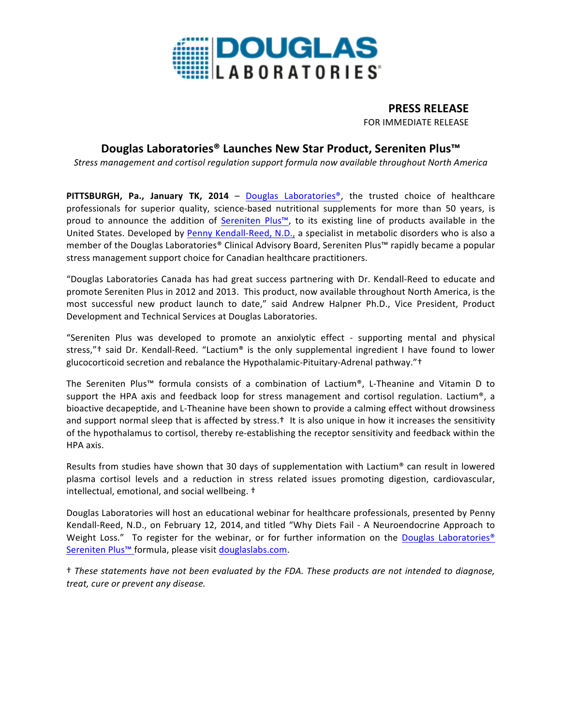

## **PRESS RELEASE** FOR IMMEDIATE RELEASE

# **Douglas Laboratories® Launches New Star Product, Sereniten Plus™**

*Stress management and cortisol regulation support formula now available throughout North America*

**PITTSBURGH, Pa., January TK, 2014** – Douglas Laboratories<sup>®</sup>, the trusted choice of healthcare professionals for superior quality, science-based nutritional supplements for more than 50 years, is proud to announce the addition of Sereniten Plus™, to its existing line of products available in the United States. Developed by Penny Kendall-Reed, N.D., a specialist in metabolic disorders who is also a member of the Douglas Laboratories® Clinical Advisory Board, Sereniten Plus™ rapidly became a popular stress management support choice for Canadian healthcare practitioners.

"Douglas Laboratories Canada has had great success partnering with Dr. Kendall-Reed to educate and promote Sereniten Plus in 2012 and 2013. This product, now available throughout North America, is the most successful new product launch to date," said Andrew Halpner Ph.D., Vice President, Product Development and Technical Services at Douglas Laboratories.

"Sereniten Plus was developed to promote an anxiolytic effect - supporting mental and physical stress,"<sup>†</sup> said Dr. Kendall-Reed. "Lactium® is the only supplemental ingredient I have found to lower glucocorticoid secretion and rebalance the Hypothalamic-Pituitary-Adrenal pathway."<sup>+</sup>

The Sereniten Plus™ formula consists of a combination of Lactium®, L-Theanine and Vitamin D to support the HPA axis and feedback loop for stress management and cortisol regulation. Lactium®, a bioactive decapeptide, and L-Theanine have been shown to provide a calming effect without drowsiness and support normal sleep that is affected by stress. $\dagger$  It is also unique in how it increases the sensitivity of the hypothalamus to cortisol, thereby re-establishing the receptor sensitivity and feedback within the HPA axis.

Results from studies have shown that 30 days of supplementation with Lactium<sup>®</sup> can result in lowered plasma cortisol levels and a reduction in stress related issues promoting digestion, cardiovascular, intellectual, emotional, and social wellbeing.  $\dagger$ 

Douglas Laboratories will host an educational webinar for healthcare professionals, presented by Penny Kendall-Reed, N.D., on February 12, 2014, and titled "Why Diets Fail - A Neuroendocrine Approach to Weight Loss." To register for the webinar, or for further information on the Douglas Laboratories<sup>®</sup> Sereniten Plus™ formula, please visit douglaslabs.com.

† *These statements have not been evaluated by the FDA. These products are not intended to diagnose, treat, cure or prevent any disease.*